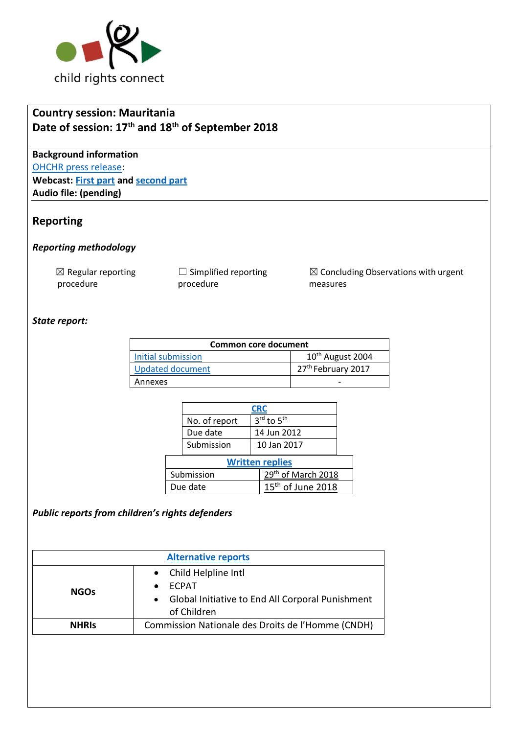

# **Country session: Mauritania Date of session: 17th and 18th of September 2018**

**Background information** [OHCHR press release:](https://www.unog.ch/unog/website/news_media.nsf/(httpNewsByYear_en)/DE9273B987EF8DE5C125830C005343B1?OpenDocument) **Webcast: [First part](http://webtv.un.org/meetings-events/human-rights-treaty-bodies/committee-on-the-rights-of-the-child/watch/consideration-of-angola-opscopac-2288th-meeting-78th-session-committee-on-the-rights-of-the-child/5787973736001) and [second part](http://webtv.un.org/meetings-events/human-rights-treaty-bodies/committee-on-the-rights-of-the-child/watch/-consideration-of-angola-contd-2287th-meeting-78th-session-committee-on-the-rights-of-the-child/5785971452001) Audio file: (pending)**

# **Reporting**

#### *Reporting methodology*

 $\boxtimes$  Regular reporting procedure

 $\Box$  Simplified reporting procedure

 $\boxtimes$  Concluding Observations with urgent measures

### *State report:*

| Common core document    |                                |  |
|-------------------------|--------------------------------|--|
| Initial submission      | 10 <sup>th</sup> August 2004   |  |
| <b>Updated document</b> | 27 <sup>th</sup> February 2017 |  |
| Annexes                 |                                |  |

|                        | <b>CRC</b>                                |                    |                        |  |  |
|------------------------|-------------------------------------------|--------------------|------------------------|--|--|
|                        | No. of report                             |                    | 3rd to 5 <sup>th</sup> |  |  |
|                        | Due date                                  |                    | 14 Jun 2012            |  |  |
|                        | Submission                                |                    | 10 Jan 2017            |  |  |
| <b>Written replies</b> |                                           |                    |                        |  |  |
| Submission             |                                           | 29th of March 2018 |                        |  |  |
|                        | 15 <sup>th</sup> of June 2018<br>Due date |                    |                        |  |  |

#### *Public reports from children's rights defenders*

| <b>Alternative reports</b> |                                                               |  |  |  |  |
|----------------------------|---------------------------------------------------------------|--|--|--|--|
| <b>NGOs</b>                | • Child Helpline Intl                                         |  |  |  |  |
|                            | <b>FCPAT</b>                                                  |  |  |  |  |
|                            | Global Initiative to End All Corporal Punishment<br>$\bullet$ |  |  |  |  |
|                            | of Children                                                   |  |  |  |  |
| <b>NHRIS</b>               | Commission Nationale des Droits de l'Homme (CNDH)             |  |  |  |  |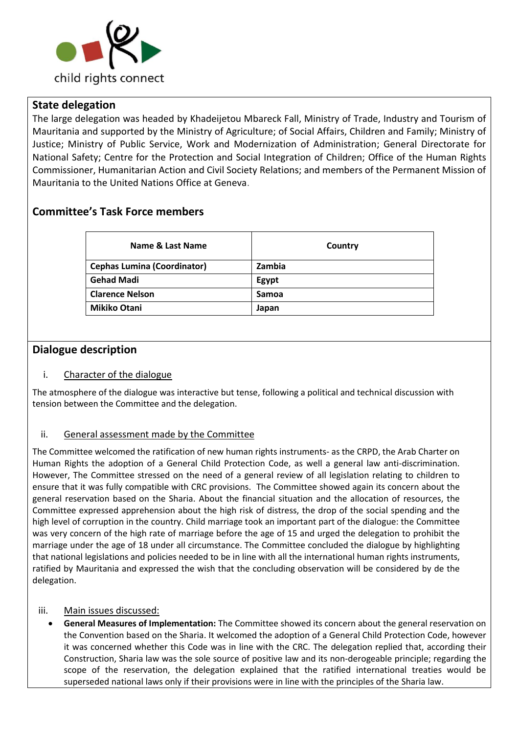

### **State delegation**

The large delegation was headed by Khadeijetou Mbareck Fall, Ministry of Trade, Industry and Tourism of Mauritania and supported by the Ministry of Agriculture; of Social Affairs, Children and Family; Ministry of Justice; Ministry of Public Service, Work and Modernization of Administration; General Directorate for National Safety; Centre for the Protection and Social Integration of Children; Office of the Human Rights Commissioner, Humanitarian Action and Civil Society Relations; and members of the Permanent Mission of Mauritania to the United Nations Office at Geneva.

# **Committee's Task Force members**

| Name & Last Name                   | Country      |
|------------------------------------|--------------|
| <b>Cephas Lumina (Coordinator)</b> | Zambia       |
| <b>Gehad Madi</b>                  | Egypt        |
| <b>Clarence Nelson</b>             | <b>Samoa</b> |
| <b>Mikiko Otani</b>                | Japan        |

# **Dialogue description**

#### i. Character of the dialogue

The atmosphere of the dialogue was interactive but tense, following a political and technical discussion with tension between the Committee and the delegation.

#### ii. General assessment made by the Committee

The Committee welcomed the ratification of new human rights instruments- as the CRPD, the Arab Charter on Human Rights the adoption of a General Child Protection Code, as well a general law anti-discrimination. However, The Committee stressed on the need of a general review of all legislation relating to children to ensure that it was fully compatible with CRC provisions. The Committee showed again its concern about the general reservation based on the Sharia. About the financial situation and the allocation of resources, the Committee expressed apprehension about the high risk of distress, the drop of the social spending and the high level of corruption in the country. Child marriage took an important part of the dialogue: the Committee was very concern of the high rate of marriage before the age of 15 and urged the delegation to prohibit the marriage under the age of 18 under all circumstance. The Committee concluded the dialogue by highlighting that national legislations and policies needed to be in line with all the international human rights instruments, ratified by Mauritania and expressed the wish that the concluding observation will be considered by de the delegation.

#### iii. Main issues discussed:

• **General Measures of Implementation:** The Committee showed its concern about the general reservation on the Convention based on the Sharia. It welcomed the adoption of a General Child Protection Code, however it was concerned whether this Code was in line with the CRC. The delegation replied that, according their Construction, Sharia law was the sole source of positive law and its non-derogeable principle; regarding the scope of the reservation, the delegation explained that the ratified international treaties would be superseded national laws only if their provisions were in line with the principles of the Sharia law.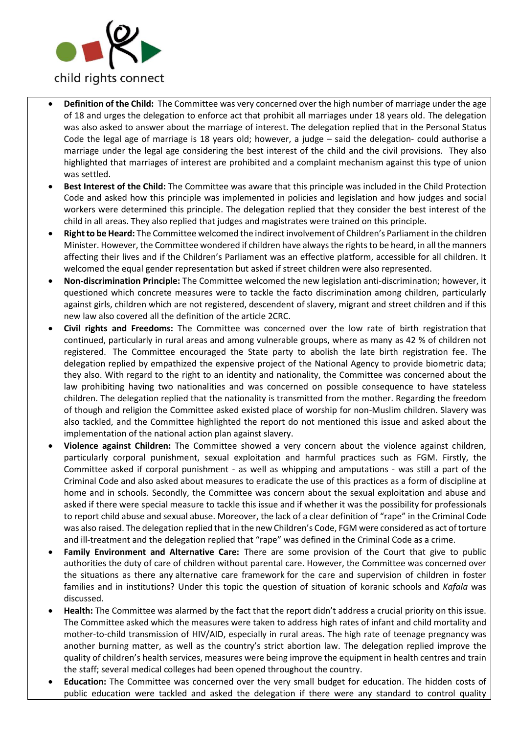

- **Definition of the Child:** The Committee was very concerned over the high number of marriage under the age of 18 and urges the delegation to enforce act that prohibit all marriages under 18 years old. The delegation was also asked to answer about the marriage of interest. The delegation replied that in the Personal Status Code the legal age of marriage is 18 years old; however, a judge – said the delegation- could authorise a marriage under the legal age considering the best interest of the child and the civil provisions. They also highlighted that marriages of interest are prohibited and a complaint mechanism against this type of union was settled.
- **Best Interest of the Child:** The Committee was aware that this principle was included in the Child Protection Code and asked how this principle was implemented in policies and legislation and how judges and social workers were determined this principle. The delegation replied that they consider the best interest of the child in all areas. They also replied that judges and magistrates were trained on this principle.
- **Right to be Heard:** The Committee welcomed the indirect involvement of Children's Parliament in the children Minister. However, the Committee wondered if children have always the rights to be heard, in all the manners affecting their lives and if the Children's Parliament was an effective platform, accessible for all children. It welcomed the equal gender representation but asked if street children were also represented.
- **Non-discrimination Principle:** The Committee welcomed the new legislation anti-discrimination; however, it questioned which concrete measures were to tackle the facto discrimination among children, particularly against girls, children which are not registered, descendent of slavery, migrant and street children and if this new law also covered all the definition of the article 2CRC.
- **Civil rights and Freedoms:** The Committee was concerned over the low rate of birth registration that continued, particularly in rural areas and among vulnerable groups, where as many as 42 % of children not registered. The Committee encouraged the State party to abolish the late birth registration fee. The delegation replied by empathized the expensive project of the National Agency to provide biometric data; they also. With regard to the right to an identity and nationality, the Committee was concerned about the law prohibiting having two nationalities and was concerned on possible consequence to have stateless children. The delegation replied that the nationality is transmitted from the mother. Regarding the freedom of though and religion the Committee asked existed place of worship for non-Muslim children. Slavery was also tackled, and the Committee highlighted the report do not mentioned this issue and asked about the implementation of the national action plan against slavery.
- **Violence against Children:** The Committee showed a very concern about the violence against children, particularly corporal punishment, sexual exploitation and harmful practices such as FGM. Firstly, the Committee asked if corporal punishment - as well as whipping and amputations - was still a part of the Criminal Code and also asked about measures to eradicate the use of this practices as a form of discipline at home and in schools. Secondly, the Committee was concern about the sexual exploitation and abuse and asked if there were special measure to tackle this issue and if whether it was the possibility for professionals to report child abuse and sexual abuse. Moreover, the lack of a clear definition of "rape" in the Criminal Code was also raised. The delegation replied that in the new Children's Code, FGM were considered as act of torture and ill-treatment and the delegation replied that "rape" was defined in the Criminal Code as a crime.
- **Family Environment and Alternative Care:** There are some provision of the Court that give to public authorities the duty of care of children without parental care. However, the Committee was concerned over the situations as there any alternative care framework for the care and supervision of children in foster families and in institutions? Under this topic the question of situation of koranic schools and *Kafala* was discussed.
- **Health:** The Committee was alarmed by the fact that the report didn't address a crucial priority on this issue. The Committee asked which the measures were taken to address high rates of infant and child mortality and mother-to-child transmission of HIV/AID, especially in rural areas. The high rate of teenage pregnancy was another burning matter, as well as the country's strict abortion law. The delegation replied improve the quality of children's health services, measures were being improve the equipment in health centres and train the staff; several medical colleges had been opened throughout the country.
- **Education:** The Committee was concerned over the very small budget for education. The hidden costs of public education were tackled and asked the delegation if there were any standard to control quality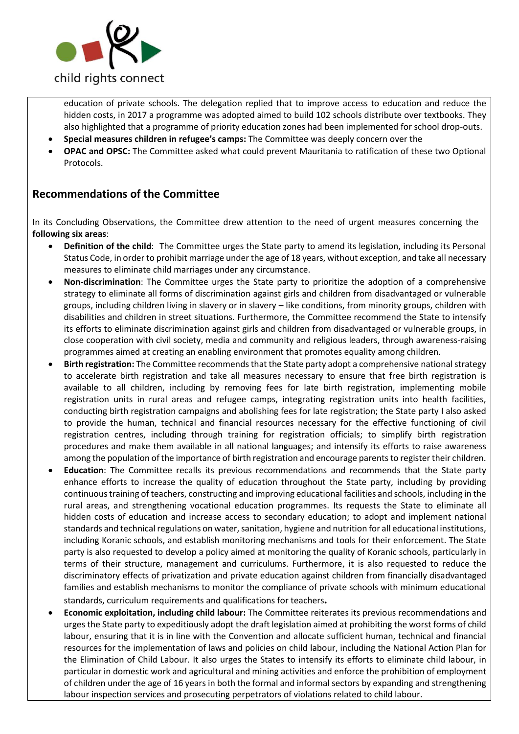

education of private schools. The delegation replied that to improve access to education and reduce the hidden costs, in 2017 a programme was adopted aimed to build 102 schools distribute over textbooks. They also highlighted that a programme of priority education zones had been implemented for school drop-outs.

- **Special measures children in refugee's camps:** The Committee was deeply concern over the
- **OPAC and OPSC:** The Committee asked what could prevent Mauritania to ratification of these two Optional Protocols.

### **Recommendations of the Committee**

In its [Concluding Observations,](http://tbinternet.ohchr.org/_layouts/treatybodyexternal/Download.aspx?symbolno=CRC%2fC%2fLSO%2fCO%2f2&Lang=en) the Committee drew attention to the need of urgent measures concerning the **following six areas**:

- **Definition of the child**: The Committee urges the State party to amend its legislation, including its Personal Status Code, in order to prohibit marriage under the age of 18 years, without exception, and take all necessary measures to eliminate child marriages under any circumstance.
- **Non-discrimination**: The Committee urges the State party to prioritize the adoption of a comprehensive strategy to eliminate all forms of discrimination against girls and children from disadvantaged or vulnerable groups, including children living in slavery or in slavery – like conditions, from minority groups, children with disabilities and children in street situations. Furthermore, the Committee recommend the State to intensify its efforts to eliminate discrimination against girls and children from disadvantaged or vulnerable groups, in close cooperation with civil society, media and community and religious leaders, through awareness-raising programmes aimed at creating an enabling environment that promotes equality among children.
- **Birth registration:** The Committee recommends that the State party adopt a comprehensive national strategy to accelerate birth registration and take all measures necessary to ensure that free birth registration is available to all children, including by removing fees for late birth registration, implementing mobile registration units in rural areas and refugee camps, integrating registration units into health facilities, conducting birth registration campaigns and abolishing fees for late registration; the State party I also asked to provide the human, technical and financial resources necessary for the effective functioning of civil registration centres, including through training for registration officials; to simplify birth registration procedures and make them available in all national languages; and intensify its efforts to raise awareness among the population of the importance of birth registration and encourage parents to register their children.
- **Education**: The Committee recalls its previous recommendations and recommends that the State party enhance efforts to increase the quality of education throughout the State party, including by providing continuous training of teachers, constructing and improving educational facilities and schools, including in the rural areas, and strengthening vocational education programmes. Its requests the State to eliminate all hidden costs of education and increase access to secondary education; to adopt and implement national standards and technical regulations on water, sanitation, hygiene and nutrition for all educational institutions, including Koranic schools, and establish monitoring mechanisms and tools for their enforcement. The State party is also requested to develop a policy aimed at monitoring the quality of Koranic schools, particularly in terms of their structure, management and curriculums. Furthermore, it is also requested to reduce the discriminatory effects of privatization and private education against children from financially disadvantaged families and establish mechanisms to monitor the compliance of private schools with minimum educational standards, curriculum requirements and qualifications for teachers**.**
- **Economic exploitation, including child labour:** The Committee reiterates its previous recommendations and urges the State party to expeditiously adopt the draft legislation aimed at prohibiting the worst forms of child labour, ensuring that it is in line with the Convention and allocate sufficient human, technical and financial resources for the implementation of laws and policies on child labour, including the National Action Plan for the Elimination of Child Labour. It also urges the States to intensify its efforts to eliminate child labour, in particular in domestic work and agricultural and mining activities and enforce the prohibition of employment of children under the age of 16 years in both the formal and informal sectors by expanding and strengthening labour inspection services and prosecuting perpetrators of violations related to child labour.